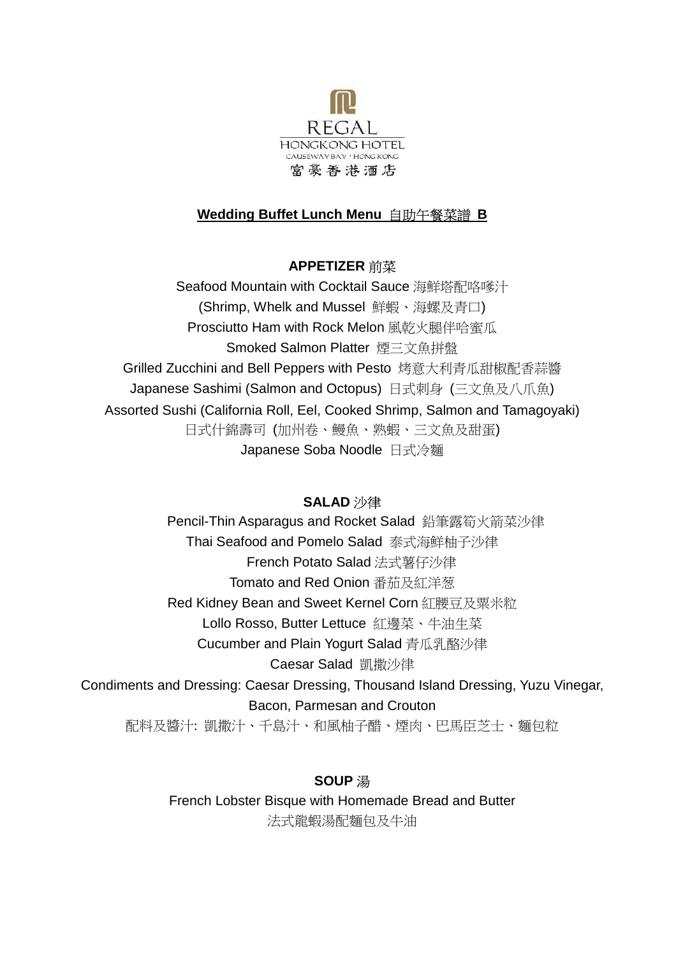

# **Wedding Buffet Lunch Menu** 自助午餐菜譜 **B**

## **APPETIZER** 前菜

Seafood Mountain with Cocktail Sauce 海鮮塔配咯嗲汁 (Shrimp, Whelk and Mussel 鮮蝦、海螺及青口) Prosciutto Ham with Rock Melon 風乾火腿伴哈蜜瓜 Smoked Salmon Platter 煙三文魚拼盤 Grilled Zucchini and Bell Peppers with Pesto 烤意大利青瓜甜椒配香蒜醬 Japanese Sashimi (Salmon and Octopus) 日式刺身 (三文魚及八爪魚) Assorted Sushi (California Roll, Eel, Cooked Shrimp, Salmon and Tamagoyaki) 日式什錦壽司 (加州卷、鰻魚、熟蝦、三文魚及甜蛋) Japanese Soba Noodle 日式冷麵

### **SALAD** 沙律

Pencil-Thin Asparagus and Rocket Salad 鉛筆露筍火箭菜沙律 Thai Seafood and Pomelo Salad 泰式海鮮柚子沙律 French Potato Salad 法式薯仔沙律 Tomato and Red Onion 番茄及紅洋葱 Red Kidney Bean and Sweet Kernel Corn 紅腰豆及粟米粒 Lollo Rosso, Butter Lettuce 紅邊菜、牛油生菜 Cucumber and Plain Yogurt Salad 青瓜乳酪沙律 Caesar Salad 凱撒沙律 Condiments and Dressing: Caesar Dressing, Thousand Island Dressing, Yuzu Vinegar, Bacon, Parmesan and Crouton

配料及醬汁: 凱撒汁、千島汁、和風柚子醋、煙肉、巴馬臣芝士、麵包粒

# **SOUP** 湯

French Lobster Bisque with Homemade Bread and Butter 法式龍蝦湯配麵包及牛油